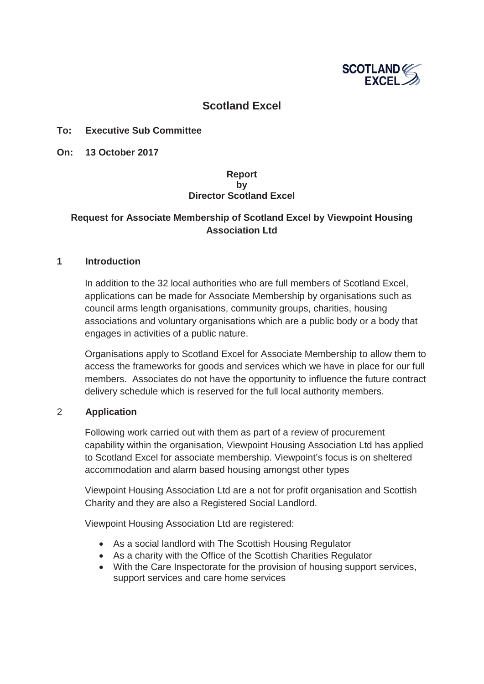

# **Scotland Excel**

## **To: Executive Sub Committee**

**On: 13 October 2017**

## **Report by Director Scotland Excel**

# **Request for Associate Membership of Scotland Excel by Viewpoint Housing Association Ltd**

#### **1 Introduction**

In addition to the 32 local authorities who are full members of Scotland Excel, applications can be made for Associate Membership by organisations such as council arms length organisations, community groups, charities, housing associations and voluntary organisations which are a public body or a body that engages in activities of a public nature.

Organisations apply to Scotland Excel for Associate Membership to allow them to access the frameworks for goods and services which we have in place for our full members. Associates do not have the opportunity to influence the future contract delivery schedule which is reserved for the full local authority members.

#### 2 **Application**

Following work carried out with them as part of a review of procurement capability within the organisation, Viewpoint Housing Association Ltd has applied to Scotland Excel for associate membership. Viewpoint's focus is on sheltered accommodation and alarm based housing amongst other types

Viewpoint Housing Association Ltd are a not for profit organisation and Scottish Charity and they are also a Registered Social Landlord.

Viewpoint Housing Association Ltd are registered:

- As a social landlord with The Scottish Housing Regulator
- As a charity with the Office of the Scottish Charities Regulator
- With the Care Inspectorate for the provision of housing support services, support services and care home services